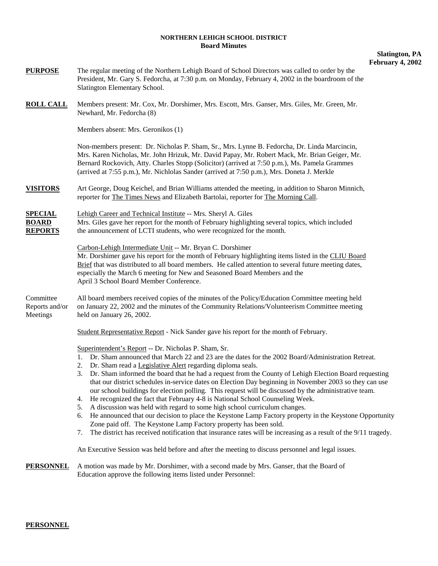## **NORTHERN LEHIGH SCHOOL DISTRICT Board Minutes**

## **Slatington, PA February 4, 2002**

| <b>PURPOSE</b>                                   | The regular meeting of the Northern Lehigh Board of School Directors was called to order by the<br>President, Mr. Gary S. Fedorcha, at 7:30 p.m. on Monday, February 4, 2002 in the boardroom of the<br>Slatington Elementary School.                                                                                                                                                                                                                                                                                                                                                                                                                                                                                                                                                                                                                                                                                                                                                                                                                                                                                                                |
|--------------------------------------------------|------------------------------------------------------------------------------------------------------------------------------------------------------------------------------------------------------------------------------------------------------------------------------------------------------------------------------------------------------------------------------------------------------------------------------------------------------------------------------------------------------------------------------------------------------------------------------------------------------------------------------------------------------------------------------------------------------------------------------------------------------------------------------------------------------------------------------------------------------------------------------------------------------------------------------------------------------------------------------------------------------------------------------------------------------------------------------------------------------------------------------------------------------|
| <b>ROLL CALL</b>                                 | Members present: Mr. Cox, Mr. Dorshimer, Mrs. Escott, Mrs. Ganser, Mrs. Giles, Mr. Green, Mr.<br>Newhard, Mr. Fedorcha (8)                                                                                                                                                                                                                                                                                                                                                                                                                                                                                                                                                                                                                                                                                                                                                                                                                                                                                                                                                                                                                           |
|                                                  | Members absent: Mrs. Geronikos (1)                                                                                                                                                                                                                                                                                                                                                                                                                                                                                                                                                                                                                                                                                                                                                                                                                                                                                                                                                                                                                                                                                                                   |
|                                                  | Non-members present: Dr. Nicholas P. Sham, Sr., Mrs. Lynne B. Fedorcha, Dr. Linda Marcincin,<br>Mrs. Karen Nicholas, Mr. John Hrizuk, Mr. David Papay, Mr. Robert Mack, Mr. Brian Geiger, Mr.<br>Bernard Rockovich, Atty. Charles Stopp (Solicitor) (arrived at 7:50 p.m.), Ms. Pamela Grammes<br>(arrived at 7:55 p.m.), Mr. Nichlolas Sander (arrived at 7:50 p.m.), Mrs. Doneta J. Merkle                                                                                                                                                                                                                                                                                                                                                                                                                                                                                                                                                                                                                                                                                                                                                         |
| <b>VISITORS</b>                                  | Art George, Doug Keichel, and Brian Williams attended the meeting, in addition to Sharon Minnich,<br>reporter for The Times News and Elizabeth Bartolai, reporter for The Morning Call.                                                                                                                                                                                                                                                                                                                                                                                                                                                                                                                                                                                                                                                                                                                                                                                                                                                                                                                                                              |
| <b>SPECIAL</b><br><b>BOARD</b><br><b>REPORTS</b> | Lehigh Career and Technical Institute -- Mrs. Sheryl A. Giles<br>Mrs. Giles gave her report for the month of February highlighting several topics, which included<br>the announcement of LCTI students, who were recognized for the month.                                                                                                                                                                                                                                                                                                                                                                                                                                                                                                                                                                                                                                                                                                                                                                                                                                                                                                           |
|                                                  | Carbon-Lehigh Intermediate Unit -- Mr. Bryan C. Dorshimer<br>Mr. Dorshimer gave his report for the month of February highlighting items listed in the CLIU Board<br>Brief that was distributed to all board members. He called attention to several future meeting dates,<br>especially the March 6 meeting for New and Seasoned Board Members and the<br>April 3 School Board Member Conference.                                                                                                                                                                                                                                                                                                                                                                                                                                                                                                                                                                                                                                                                                                                                                    |
| Committee<br>Reports and/or<br>Meetings          | All board members received copies of the minutes of the Policy/Education Committee meeting held<br>on January 22, 2002 and the minutes of the Community Relations/Volunteerism Committee meeting<br>held on January 26, 2002.                                                                                                                                                                                                                                                                                                                                                                                                                                                                                                                                                                                                                                                                                                                                                                                                                                                                                                                        |
|                                                  | Student Representative Report - Nick Sander gave his report for the month of February.                                                                                                                                                                                                                                                                                                                                                                                                                                                                                                                                                                                                                                                                                                                                                                                                                                                                                                                                                                                                                                                               |
|                                                  | Superintendent's Report -- Dr. Nicholas P. Sham, Sr.<br>1. Dr. Sham announced that March 22 and 23 are the dates for the 2002 Board/Administration Retreat.<br>2. Dr. Sham read a Legislative Alert regarding diploma seals.<br>Dr. Sham informed the board that he had a request from the County of Lehigh Election Board requesting<br>3.<br>that our district schedules in-service dates on Election Day beginning in November 2003 so they can use<br>our school buildings for election polling. This request will be discussed by the administrative team.<br>4. He recognized the fact that February 4-8 is National School Counseling Week.<br>A discussion was held with regard to some high school curriculum changes.<br>5.<br>6. He announced that our decision to place the Keystone Lamp Factory property in the Keystone Opportunity<br>Zone paid off. The Keystone Lamp Factory property has been sold.<br>The district has received notification that insurance rates will be increasing as a result of the 9/11 tragedy.<br>7.<br>An Executive Session was held before and after the meeting to discuss personnel and legal issues. |
| <b>PERSONNEL</b>                                 | A motion was made by Mr. Dorshimer, with a second made by Mrs. Ganser, that the Board of<br>Education approve the following items listed under Personnel:                                                                                                                                                                                                                                                                                                                                                                                                                                                                                                                                                                                                                                                                                                                                                                                                                                                                                                                                                                                            |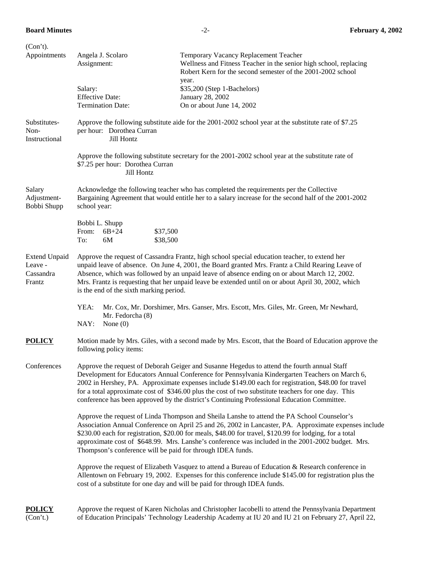| (Con't).                                               |                                                                                                                                                                                                                                                                                                                                                                                                                                                                                                             |                                                                                                                                                                                                                                                                                           |  |  |  |
|--------------------------------------------------------|-------------------------------------------------------------------------------------------------------------------------------------------------------------------------------------------------------------------------------------------------------------------------------------------------------------------------------------------------------------------------------------------------------------------------------------------------------------------------------------------------------------|-------------------------------------------------------------------------------------------------------------------------------------------------------------------------------------------------------------------------------------------------------------------------------------------|--|--|--|
| Appointments                                           | Angela J. Scolaro<br>Assignment:                                                                                                                                                                                                                                                                                                                                                                                                                                                                            | Temporary Vacancy Replacement Teacher<br>Wellness and Fitness Teacher in the senior high school, replacing<br>Robert Kern for the second semester of the 2001-2002 school                                                                                                                 |  |  |  |
|                                                        | Salary:                                                                                                                                                                                                                                                                                                                                                                                                                                                                                                     | year.<br>\$35,200 (Step 1-Bachelors)                                                                                                                                                                                                                                                      |  |  |  |
|                                                        | <b>Effective Date:</b>                                                                                                                                                                                                                                                                                                                                                                                                                                                                                      | January 28, 2002                                                                                                                                                                                                                                                                          |  |  |  |
|                                                        | <b>Termination Date:</b>                                                                                                                                                                                                                                                                                                                                                                                                                                                                                    | On or about June 14, 2002                                                                                                                                                                                                                                                                 |  |  |  |
| Substitutes-<br>Non-<br>Instructional                  | Approve the following substitute aide for the 2001-2002 school year at the substitute rate of \$7.25<br>per hour: Dorothea Curran<br>Jill Hontz                                                                                                                                                                                                                                                                                                                                                             |                                                                                                                                                                                                                                                                                           |  |  |  |
|                                                        | Approve the following substitute secretary for the 2001-2002 school year at the substitute rate of<br>\$7.25 per hour: Dorothea Curran<br>Jill Hontz                                                                                                                                                                                                                                                                                                                                                        |                                                                                                                                                                                                                                                                                           |  |  |  |
| Salary<br>Adjustment-<br>Bobbi Shupp                   | Acknowledge the following teacher who has completed the requirements per the Collective<br>Bargaining Agreement that would entitle her to a salary increase for the second half of the 2001-2002<br>school year:                                                                                                                                                                                                                                                                                            |                                                                                                                                                                                                                                                                                           |  |  |  |
|                                                        | Bobbi L. Shupp<br>From:<br>$6B + 24$<br>\$37,500<br>\$38,500<br>6M<br>To:                                                                                                                                                                                                                                                                                                                                                                                                                                   |                                                                                                                                                                                                                                                                                           |  |  |  |
| <b>Extend Unpaid</b><br>Leave -<br>Cassandra<br>Frantz | Approve the request of Cassandra Frantz, high school special education teacher, to extend her<br>unpaid leave of absence. On June 4, 2001, the Board granted Mrs. Frantz a Child Rearing Leave of<br>Absence, which was followed by an unpaid leave of absence ending on or about March 12, 2002.<br>Mrs. Frantz is requesting that her unpaid leave be extended until on or about April 30, 2002, which<br>is the end of the sixth marking period.                                                         |                                                                                                                                                                                                                                                                                           |  |  |  |
|                                                        | YEA:<br>Mr. Cox, Mr. Dorshimer, Mrs. Ganser, Mrs. Escott, Mrs. Giles, Mr. Green, Mr Newhard,<br>Mr. Fedorcha (8)<br>NAY:<br>None $(0)$                                                                                                                                                                                                                                                                                                                                                                      |                                                                                                                                                                                                                                                                                           |  |  |  |
| <b>POLICY</b>                                          | Motion made by Mrs. Giles, with a second made by Mrs. Escott, that the Board of Education approve the<br>following policy items:                                                                                                                                                                                                                                                                                                                                                                            |                                                                                                                                                                                                                                                                                           |  |  |  |
| Conferences                                            | Approve the request of Deborah Geiger and Susanne Hegedus to attend the fourth annual Staff<br>Development for Educators Annual Conference for Pennsylvania Kindergarten Teachers on March 6,<br>2002 in Hershey, PA. Approximate expenses include \$149.00 each for registration, \$48.00 for travel<br>for a total approximate cost of \$346.00 plus the cost of two substitute teachers for one day. This<br>conference has been approved by the district's Continuing Professional Education Committee. |                                                                                                                                                                                                                                                                                           |  |  |  |
|                                                        | Approve the request of Linda Thompson and Sheila Lanshe to attend the PA School Counselor's<br>Association Annual Conference on April 25 and 26, 2002 in Lancaster, PA. Approximate expenses include<br>\$230.00 each for registration, \$20.00 for meals, \$48.00 for travel, \$120.99 for lodging, for a total<br>approximate cost of \$648.99. Mrs. Lanshe's conference was included in the 2001-2002 budget. Mrs.<br>Thompson's conference will be paid for through IDEA funds.                         |                                                                                                                                                                                                                                                                                           |  |  |  |
|                                                        |                                                                                                                                                                                                                                                                                                                                                                                                                                                                                                             | Approve the request of Elizabeth Vasquez to attend a Bureau of Education & Research conference in<br>Allentown on February 19, 2002. Expenses for this conference include \$145.00 for registration plus the<br>cost of a substitute for one day and will be paid for through IDEA funds. |  |  |  |
| <b>POLICY</b><br>(Con't.)                              | Approve the request of Karen Nicholas and Christopher Iacobelli to attend the Pennsylvania Department<br>of Education Principals' Technology Leadership Academy at IU 20 and IU 21 on February 27, April 22,                                                                                                                                                                                                                                                                                                |                                                                                                                                                                                                                                                                                           |  |  |  |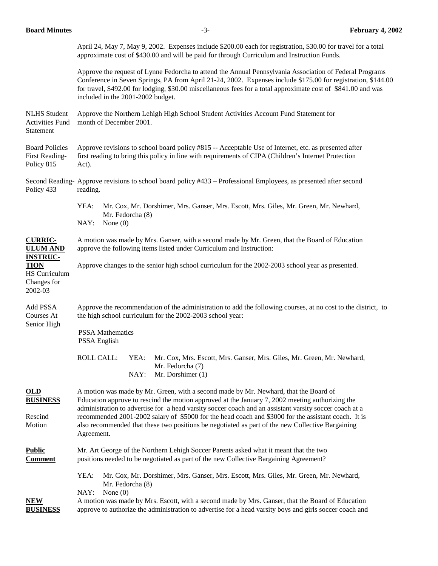April 24, May 7, May 9, 2002. Expenses include \$200.00 each for registration, \$30.00 for travel for a total approximate cost of \$430.00 and will be paid for through Curriculum and Instruction Funds.

 Approve the request of Lynne Fedorcha to attend the Annual Pennsylvania Association of Federal Programs Conference in Seven Springs, PA from April 21-24, 2002. Expenses include \$175.00 for registration, \$144.00 for travel, \$492.00 for lodging, \$30.00 miscellaneous fees for a total approximate cost of \$841.00 and was included in the 2001-2002 budget.

NLHS Student Approve the Northern Lehigh High School Student Activities Account Fund Statement for Activities Fund month of December 2001. Statement

Board Policies Approve revisions to school board policy #815 -- Acceptable Use of Internet, etc. as presented after First Reading- first reading to bring this policy in line with requirements of CIPA (Children's Internet Protection Policy 815 Act).

Second Reading- Approve revisions to school board policy #433 – Professional Employees, as presented after second Policy 433 reading.

> YEA: Mr. Cox, Mr. Dorshimer, Mrs. Ganser, Mrs. Escott, Mrs. Giles, Mr. Green, Mr. Newhard, Mr. Fedorcha (8) NAY: None (0)

**CURRIC-** A motion was made by Mrs. Ganser, with a second made by Mr. Green, that the Board of Education **ULUM AND** approve the following items listed under Curriculum and Instruction:

**TION** Approve changes to the senior high school curriculum for the 2002-2003 school year as presented.

HS Curriculum Changes for 2002-03

**INSTRUC-**

Add PSSA Approve the recommendation of the administration to add the following courses, at no cost to the district, to Courses At the high school curriculum for the 2002-2003 school year: Senior High

> PSSA Mathematics PSSA English

 ROLL CALL: YEA: Mr. Cox, Mrs. Escott, Mrs. Ganser, Mrs. Giles, Mr. Green, Mr. Newhard, Mr. Fedorcha (7) NAY: Mr. Dorshimer (1)

**OLD** A motion was made by Mr. Green, with a second made by Mr. Newhard, that the Board of **BUSINESS** Education approve to rescind the motion approved at the January 7, 2002 meeting authorizing the administration to advertise for a head varsity soccer coach and an assistant varsity soccer coach at a Rescind recommended 2001-2002 salary of \$5000 for the head coach and \$3000 for the assistant coach. It is Motion also recommended that these two positions be negotiated as part of the new Collective Bargaining Agreement.

**Public** Mr. Art George of the Northern Lehigh Soccer Parents asked what it meant that the two **Comment** positions needed to be negotiated as part of the new Collective Bargaining Agreement?

> YEA: Mr. Cox, Mr. Dorshimer, Mrs. Ganser, Mrs. Escott, Mrs. Giles, Mr. Green, Mr. Newhard, Mr. Fedorcha (8) NAY: None (0)

**NEW** A motion was made by Mrs. Escott, with a second made by Mrs. Ganser, that the Board of Education **BUSINESS** approve to authorize the administration to advertise for a head varsity boys and girls soccer coach and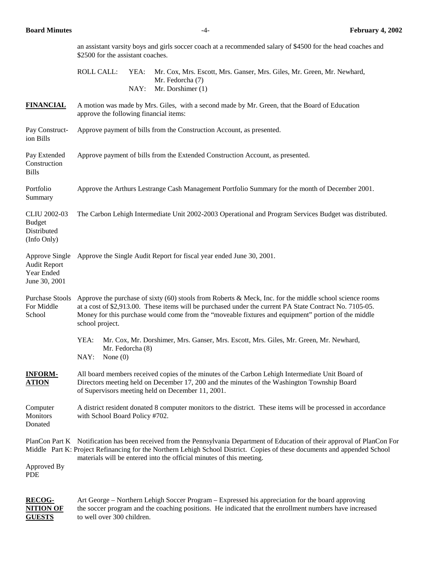GUESTS to well over 300 children.

| <b>Board Minutes</b>                                                 |                                                                                                                                                                                                                                                                                                                                                |                  | $-4-$                                                                                 | February 4, 2002                                                       |  |  |
|----------------------------------------------------------------------|------------------------------------------------------------------------------------------------------------------------------------------------------------------------------------------------------------------------------------------------------------------------------------------------------------------------------------------------|------------------|---------------------------------------------------------------------------------------|------------------------------------------------------------------------|--|--|
|                                                                      | an assistant varsity boys and girls soccer coach at a recommended salary of \$4500 for the head coaches and<br>\$2500 for the assistant coaches.                                                                                                                                                                                               |                  |                                                                                       |                                                                        |  |  |
|                                                                      | <b>ROLL CALL:</b>                                                                                                                                                                                                                                                                                                                              | YEA:<br>NAY:     | Mr. Fedorcha (7)<br>Mr. Dorshimer (1)                                                 | Mr. Cox, Mrs. Escott, Mrs. Ganser, Mrs. Giles, Mr. Green, Mr. Newhard, |  |  |
| <b>FINANCIAL</b>                                                     | A motion was made by Mrs. Giles, with a second made by Mr. Green, that the Board of Education<br>approve the following financial items:                                                                                                                                                                                                        |                  |                                                                                       |                                                                        |  |  |
| Pay Construct-<br>ion Bills                                          | Approve payment of bills from the Construction Account, as presented.                                                                                                                                                                                                                                                                          |                  |                                                                                       |                                                                        |  |  |
| Pay Extended<br>Construction<br><b>Bills</b>                         | Approve payment of bills from the Extended Construction Account, as presented.                                                                                                                                                                                                                                                                 |                  |                                                                                       |                                                                        |  |  |
| Portfolio<br>Summary                                                 | Approve the Arthurs Lestrange Cash Management Portfolio Summary for the month of December 2001.                                                                                                                                                                                                                                                |                  |                                                                                       |                                                                        |  |  |
| <b>CLIU 2002-03</b><br><b>Budget</b><br>Distributed<br>(Info Only)   | The Carbon Lehigh Intermediate Unit 2002-2003 Operational and Program Services Budget was distributed.                                                                                                                                                                                                                                         |                  |                                                                                       |                                                                        |  |  |
| Approve Single<br><b>Audit Report</b><br>Year Ended<br>June 30, 2001 | Approve the Single Audit Report for fiscal year ended June 30, 2001.                                                                                                                                                                                                                                                                           |                  |                                                                                       |                                                                        |  |  |
| <b>Purchase Stools</b><br>For Middle<br>School                       | Approve the purchase of sixty $(60)$ stools from Roberts & Meck, Inc. for the middle school science rooms<br>at a cost of \$2,913.00. These items will be purchased under the current PA State Contract No. 7105-05.<br>Money for this purchase would come from the "moveable fixtures and equipment" portion of the middle<br>school project. |                  |                                                                                       |                                                                        |  |  |
|                                                                      | YEA:<br>NAY:<br>None $(0)$                                                                                                                                                                                                                                                                                                                     | Mr. Fedorcha (8) | Mr. Cox, Mr. Dorshimer, Mrs. Ganser, Mrs. Escott, Mrs. Giles, Mr. Green, Mr. Newhard, |                                                                        |  |  |
| <b>INFORM-</b><br><b>ATION</b>                                       | All board members received copies of the minutes of the Carbon Lehigh Intermediate Unit Board of<br>Directors meeting held on December 17, 200 and the minutes of the Washington Township Board<br>of Supervisors meeting held on December 11, 2001.                                                                                           |                  |                                                                                       |                                                                        |  |  |
| Computer<br>Monitors<br>Donated                                      | A district resident donated 8 computer monitors to the district. These items will be processed in accordance<br>with School Board Policy #702.                                                                                                                                                                                                 |                  |                                                                                       |                                                                        |  |  |
| Approved By<br><b>PDE</b>                                            | PlanCon Part K Notification has been received from the Pennsylvania Department of Education of their approval of PlanCon For<br>Middle Part K: Project Refinancing for the Northern Lehigh School District. Copies of these documents and appended School<br>materials will be entered into the official minutes of this meeting.              |                  |                                                                                       |                                                                        |  |  |
| <b>RECOG-</b><br><b>NITION OF</b>                                    | Art George – Northern Lehigh Soccer Program – Expressed his appreciation for the board approving<br>the soccer program and the coaching positions. He indicated that the enrollment numbers have increased                                                                                                                                     |                  |                                                                                       |                                                                        |  |  |